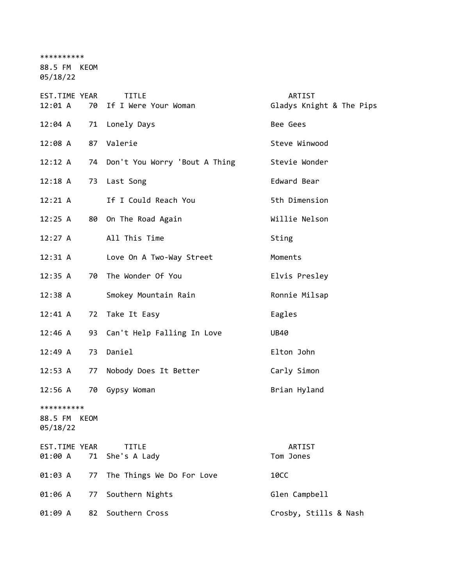\*\*\*\*\*\*\*\*\*\* 88.5 FM KEOM 05/18/22

| EST.TIME YEAR<br>12:01 A               | 70 | <b>TITLE</b><br>If I Were Your Woman | ARTIST<br>Gladys Knight & The Pips |
|----------------------------------------|----|--------------------------------------|------------------------------------|
| $12:04$ A                              | 71 | Lonely Days                          | Bee Gees                           |
| 12:08 A                                | 87 | Valerie                              | Steve Winwood                      |
| 12:12 A                                | 74 | Don't You Worry 'Bout A Thing        | Stevie Wonder                      |
| $12:18$ A                              | 73 | Last Song                            | Edward Bear                        |
| 12:21 A                                |    | If I Could Reach You                 | 5th Dimension                      |
| 12:25 A                                | 80 | On The Road Again                    | Willie Nelson                      |
| 12:27 A                                |    | All This Time                        | Sting                              |
| 12:31 A                                |    | Love On A Two-Way Street             | Moments                            |
| 12:35 A                                | 70 | The Wonder Of You                    | Elvis Presley                      |
| $12:38$ A                              |    | Smokey Mountain Rain                 | Ronnie Milsap                      |
| $12:41 \; A$                           | 72 | Take It Easy                         | Eagles                             |
| 12:46 A                                | 93 | Can't Help Falling In Love           | <b>UB40</b>                        |
| 12:49 A                                | 73 | Daniel                               | Elton John                         |
| 12:53 A                                | 77 | Nobody Does It Better                | Carly Simon                        |
| $12:56$ A                              | 70 | Gypsy Woman                          | Brian Hyland                       |
| **********<br>88.5 FM KEOM<br>05/18/22 |    |                                      |                                    |
| EST.TIME YEAR<br>01:00 A               | 71 | <b>TITLE</b><br>She's A Lady         | ARTIST<br>Tom Jones                |
| 01:03 A                                | 77 | The Things We Do For Love            | <b>10CC</b>                        |
| 01:06 A                                | 77 | Southern Nights                      | Glen Campbell                      |
| 01:09 A                                | 82 | Southern Cross                       | Crosby, Stills & Nash              |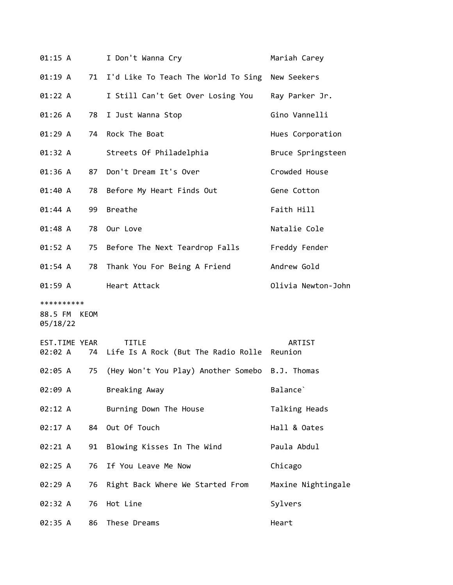| 01:15 A                  |    | I Don't Wanna Cry                                              | Mariah Carey         |
|--------------------------|----|----------------------------------------------------------------|----------------------|
| 01:19 A                  |    | 71 I'd Like To Teach The World To Sing New Seekers             |                      |
| 01:22 A                  |    | I Still Can't Get Over Losing You Ray Parker Jr.               |                      |
| 01:26 A                  | 78 | I Just Wanna Stop                                              | Gino Vannelli        |
| 01:29 A                  | 74 | Rock The Boat                                                  | Hues Corporation     |
| 01:32 A                  |    | Streets Of Philadelphia                                        | Bruce Springsteen    |
| 01:36 A                  | 87 | Don't Dream It's Over                                          | Crowded House        |
| 01:40 A                  | 78 | Before My Heart Finds Out                                      | Gene Cotton          |
| 01:44 A                  | 99 | Breathe                                                        | Faith Hill           |
| 01:48 A                  | 78 | Our Love                                                       | Natalie Cole         |
| 01:52 A                  |    | 75 Before The Next Teardrop Falls Freddy Fender                |                      |
| 01:54 A                  | 78 | Thank You For Being A Friend                                   | Andrew Gold          |
| 01:59 A                  |    | Heart Attack                                                   | Olivia Newton-John   |
|                          |    |                                                                |                      |
| **********               |    |                                                                |                      |
| 88.5 FM KEOM<br>05/18/22 |    |                                                                |                      |
| EST.TIME YEAR<br>02:02 A |    | <b>TITLE</b><br>74 Life Is A Rock (But The Radio Rolle Reunion | ARTIST               |
| 02:05 A                  | 75 | (Hey Won't You Play) Another Somebo B.J. Thomas                |                      |
| 02:09 A                  |    | Breaking Away                                                  | Balance <sup>'</sup> |
| 02:12 A                  |    | Burning Down The House                                         | Talking Heads        |
| 02:17 A                  |    | 84 Out Of Touch                                                | Hall & Oates         |
| 02:21 A                  | 91 | Blowing Kisses In The Wind                                     | Paula Abdul          |
| 02:25 A                  | 76 | If You Leave Me Now                                            | Chicago              |
| 02:29 A                  | 76 | Right Back Where We Started From                               | Maxine Nightingale   |
| 02:32 A                  | 76 | Hot Line                                                       | Sylvers              |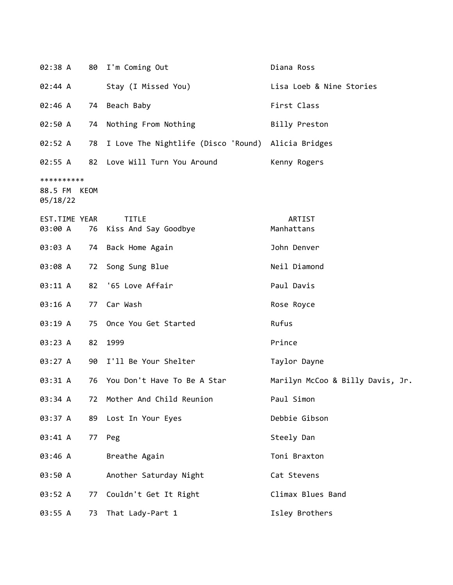| 02:38 A                                |    | 80 I'm Coming Out                                  | Diana Ross                       |
|----------------------------------------|----|----------------------------------------------------|----------------------------------|
| 02:44 A                                |    | Stay (I Missed You)                                | Lisa Loeb & Nine Stories         |
| 02:46 A                                |    | 74 Beach Baby                                      | First Class                      |
| 02:50 A                                | 74 | Nothing From Nothing                               | Billy Preston                    |
| 02:52 A                                | 78 | I Love The Nightlife (Disco 'Round) Alicia Bridges |                                  |
|                                        |    | 02:55 A 82 Love Will Turn You Around               | Kenny Rogers                     |
| **********<br>88.5 FM KEOM<br>05/18/22 |    |                                                    |                                  |
| EST.TIME YEAR<br>03:00 A               |    | <b>TITLE</b><br>76 Kiss And Say Goodbye            | ARTIST<br>Manhattans             |
| 03:03 A                                |    | 74 Back Home Again                                 | John Denver                      |
| 03:08 A                                |    | 72 Song Sung Blue                                  | Neil Diamond                     |
| 03:11 A                                |    | 82 '65 Love Affair                                 | Paul Davis                       |
| 03:16 A                                | 77 | Car Wash                                           | Rose Royce                       |
| 03:19 A                                | 75 | Once You Get Started                               | Rufus                            |
| 03:23 A                                | 82 | 1999                                               | Prince                           |
| 03:27 A                                |    | 90 I'll Be Your Shelter                            | Taylor Dayne                     |
| 03:31 A                                |    | 76 You Don't Have To Be A Star                     | Marilyn McCoo & Billy Davis, Jr. |
| 03:34 A                                | 72 | Mother And Child Reunion                           | Paul Simon                       |
| 03:37 A                                | 89 | Lost In Your Eyes                                  | Debbie Gibson                    |
| 03:41 A                                | 77 | Peg                                                | Steely Dan                       |
| 03:46 A                                |    | Breathe Again                                      | Toni Braxton                     |
| 03:50 A                                |    | Another Saturday Night                             | Cat Stevens                      |
| 03:52 A                                | 77 | Couldn't Get It Right                              | Climax Blues Band                |
| 03:55 A                                | 73 | That Lady-Part 1                                   | Isley Brothers                   |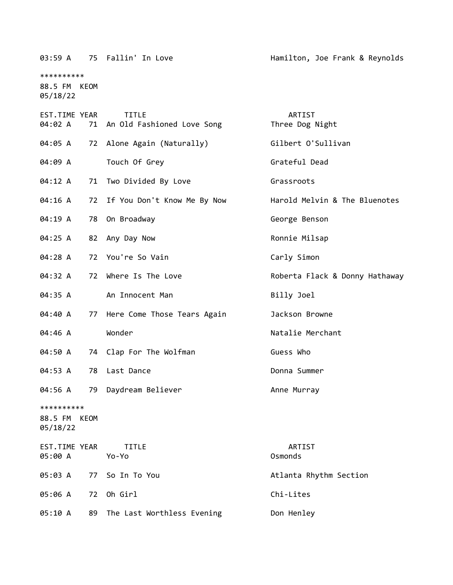|                                        |      | 03:59 A 75 Fallin' In Love                    | Hamilton, Joe Frank & Reynolds |
|----------------------------------------|------|-----------------------------------------------|--------------------------------|
| **********<br>88.5 FM KEOM<br>05/18/22 |      |                                               |                                |
| EST.TIME YEAR<br>04:02 A               |      | <b>TITLE</b><br>71 An Old Fashioned Love Song | ARTIST<br>Three Dog Night      |
| 04:05 A                                |      | 72 Alone Again (Naturally)                    | Gilbert O'Sullivan             |
| 04:09 A                                |      | Touch Of Grey                                 | Grateful Dead                  |
| 04:12 A                                |      | 71 Two Divided By Love                        | Grassroots                     |
| 04:16 A                                |      | 72 If You Don't Know Me By Now                | Harold Melvin & The Bluenotes  |
| 04:19 A                                | 78   | On Broadway                                   | George Benson                  |
| 04:25 A                                | 82   | Any Day Now                                   | Ronnie Milsap                  |
| 04:28 A                                |      | 72 You're So Vain                             | Carly Simon                    |
| 04:32 A                                | 72   | Where Is The Love                             | Roberta Flack & Donny Hathaway |
| 04:35 A                                |      | An Innocent Man                               | Billy Joel                     |
| 04:40 A                                | 77   | Here Come Those Tears Again                   | Jackson Browne                 |
| 04:46 A                                |      | Wonder                                        | Natalie Merchant               |
| 04:50 A                                |      | 74 Clap For The Wolfman                       | Guess Who                      |
| 04:53 A                                | 78   | Last Dance                                    | Donna Summer                   |
| 04:56 A                                |      | 79 Daydream Believer                          | Anne Murray                    |
| **********<br>88.5 FM<br>05/18/22      | KEOM |                                               |                                |
| EST.TIME YEAR<br>05:00 A               |      | <b>TITLE</b><br>Yo-Yo                         | ARTIST<br>Osmonds              |
| 05:03 A                                | 77   | So In To You                                  | Atlanta Rhythm Section         |
| 05:06 A                                | 72   | Oh Girl                                       | Chi-Lites                      |
| 05:10 A                                | 89   | The Last Worthless Evening                    | Don Henley                     |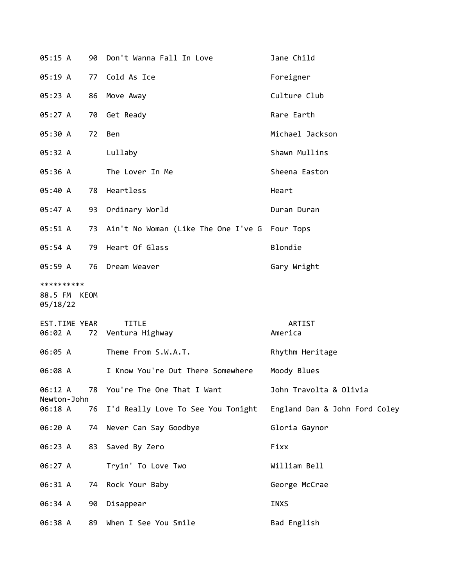| 05:15 A                                |    | 90 Don't Wanna Fall In Love                      | Jane Child                    |
|----------------------------------------|----|--------------------------------------------------|-------------------------------|
| 05:19A                                 |    | 77 Cold As Ice                                   | Foreigner                     |
| 05:23 A                                |    | 86 Move Away                                     | Culture Club                  |
| 05:27 A                                |    | 70 Get Ready                                     | Rare Earth                    |
| 05:30 A                                | 72 | Ben                                              | Michael Jackson               |
| 05:32 A                                |    | Lullaby                                          | Shawn Mullins                 |
| 05:36 A                                |    | The Lover In Me                                  | Sheena Easton                 |
| 05:40 A                                |    | 78 Heartless                                     | Heart                         |
| 05:47 A                                |    | 93 Ordinary World                                | Duran Duran                   |
| 05:51 A                                |    | 73 Ain't No Woman (Like The One I've G Four Tops |                               |
| 05:54 A                                |    | 79 Heart Of Glass                                | Blondie                       |
| 05:59 A                                |    | 76 Dream Weaver                                  | Gary Wright                   |
| **********<br>88.5 FM KEOM<br>05/18/22 |    |                                                  |                               |
| EST.TIME YEAR<br>06:02 A               |    | <b>TITLE</b><br>72 Ventura Highway               | ARTIST<br>America             |
| 06:05 A                                |    | Theme From S.W.A.T.                              | Rhythm Heritage               |
| 06:08 A                                |    | I Know You're Out There Somewhere                | Moody Blues                   |
| 06:12 A<br>Newton-John                 |    | 78 You're The One That I Want                    | John Travolta & Olivia        |
| 06:18 A                                | 76 | I'd Really Love To See You Tonight               | England Dan & John Ford Coley |
| 06:20 A                                |    | 74 Never Can Say Goodbye                         | Gloria Gaynor                 |
| 06:23 A                                |    | 83 Saved By Zero                                 | Fixx                          |
| 06:27 A                                |    | Tryin' To Love Two                               | William Bell                  |
| 06:31 A                                |    | 74 Rock Your Baby                                | George McCrae                 |
| 06:34 A                                |    | 90 Disappear                                     | <b>INXS</b>                   |
| 06:38 A                                | 89 | When I See You Smile                             | Bad English                   |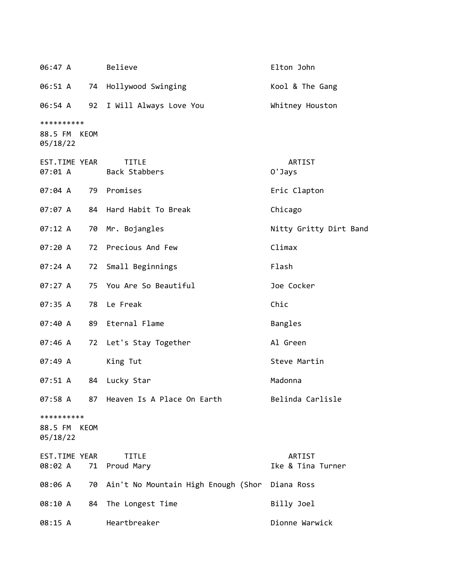| 06:47 A                                   | Believe                             | Elton John                  |
|-------------------------------------------|-------------------------------------|-----------------------------|
| 06:51 A                                   | 74 Hollywood Swinging               | Kool & The Gang             |
| 06:54 A                                   | 92 I Will Always Love You           | Whitney Houston             |
| **********<br>88.5 FM KEOM<br>05/18/22    |                                     |                             |
| EST.TIME YEAR<br>07:01 A                  | <b>TITLE</b><br>Back Stabbers       | ARTIST<br>0'Jays            |
| 07:04 A                                   | 79 Promises                         | Eric Clapton                |
| 07:07 A                                   | 84 Hard Habit To Break              | Chicago                     |
| 07:12 A                                   | 70 Mr. Bojangles                    | Nitty Gritty Dirt Band      |
| 07:20 A                                   | 72 Precious And Few                 | Climax                      |
| 07:24 A                                   | 72 Small Beginnings                 | Flash                       |
| 07:27 A                                   | 75 You Are So Beautiful             | Joe Cocker                  |
| 07:35 A                                   | 78 Le Freak                         | Chic                        |
| 07:40 A                                   | 89 Eternal Flame                    | Bangles                     |
| 07:46 A                                   | 72 Let's Stay Together              | Al Green                    |
| 07:49 A                                   | King Tut                            | Steve Martin                |
| 07:51 A<br>84                             | Lucky Star                          | Madonna                     |
| 07:58 A                                   | 87 Heaven Is A Place On Earth       | Belinda Carlisle            |
| **********<br>88.5 FM<br>KEOM<br>05/18/22 |                                     |                             |
| EST.TIME YEAR<br>08:02 A<br>71            | <b>TITLE</b><br>Proud Mary          | ARTIST<br>Ike & Tina Turner |
| 08:06 A<br>70                             | Ain't No Mountain High Enough (Shor | Diana Ross                  |
| 08:10 A<br>84                             | The Longest Time                    | Billy Joel                  |
| 08:15 A                                   | Heartbreaker                        | Dionne Warwick              |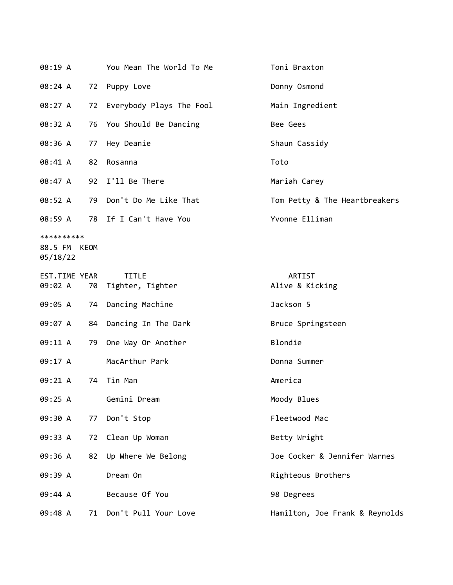| 08:19 A                                |    | You Mean The World To Me         | Toni Braxton                   |
|----------------------------------------|----|----------------------------------|--------------------------------|
| 08:24 A                                |    | 72 Puppy Love                    | Donny Osmond                   |
| 08:27 A                                | 72 | Everybody Plays The Fool         | Main Ingredient                |
| 08:32 A                                |    | 76 You Should Be Dancing         | Bee Gees                       |
| 08:36 A                                | 77 | Hey Deanie                       | Shaun Cassidy                  |
| 08:41 A                                | 82 | Rosanna                          | Toto                           |
| 08:47 A                                |    | 92 I'll Be There                 | Mariah Carey                   |
| 08:52 A                                |    | 79 Don't Do Me Like That         | Tom Petty & The Heartbreakers  |
| 08:59 A                                |    | 78 If I Can't Have You           | Yvonne Elliman                 |
| **********<br>88.5 FM KEOM<br>05/18/22 |    |                                  |                                |
| EST.TIME YEAR<br>09:02 A               | 70 | <b>TITLE</b><br>Tighter, Tighter | ARTIST<br>Alive & Kicking      |
| 09:05 A                                | 74 | Dancing Machine                  | Jackson 5                      |
| 09:07 A                                | 84 | Dancing In The Dark              | Bruce Springsteen              |
| 09:11 A                                | 79 | One Way Or Another               | Blondie                        |
| 09:17 A                                |    | MacArthur Park                   | Donna Summer                   |
| 09:21 A                                | 74 | Tin Man                          | America                        |
| 09:25 A                                |    | Gemini Dream                     | Moody Blues                    |
| 09:30 A                                | 77 | Don't Stop                       | Fleetwood Mac                  |
| 09:33 A                                |    | 72 Clean Up Woman                | Betty Wright                   |
| 09:36 A                                | 82 | Up Where We Belong               | Joe Cocker & Jennifer Warnes   |
| 09:39 A                                |    | Dream On                         | Righteous Brothers             |
| 09:44 A                                |    | Because Of You                   | 98 Degrees                     |
| 09:48 A                                | 71 | Don't Pull Your Love             | Hamilton, Joe Frank & Reynolds |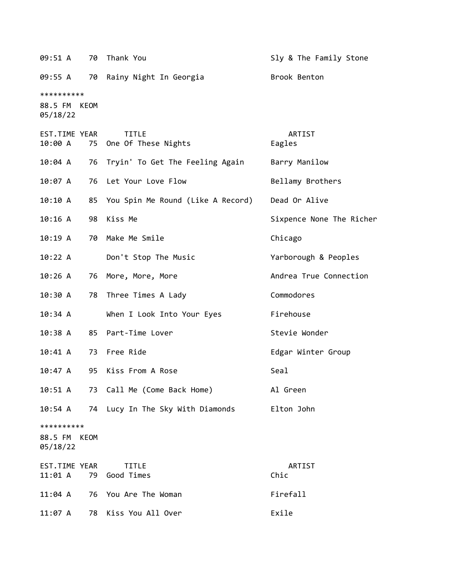| 09:51 A                                | 70 | Thank You                           | Sly & The Family Stone   |
|----------------------------------------|----|-------------------------------------|--------------------------|
| 09:55 A                                |    | 70 Rainy Night In Georgia           | Brook Benton             |
| **********<br>88.5 FM KEOM<br>05/18/22 |    |                                     |                          |
| EST.TIME YEAR<br>10:00 A               | 75 | <b>TITLE</b><br>One Of These Nights | ARTIST<br>Eagles         |
| 10:04 A                                | 76 | Tryin' To Get The Feeling Again     | Barry Manilow            |
| 10:07 A                                | 76 | Let Your Love Flow                  | Bellamy Brothers         |
| 10:10 A                                | 85 | You Spin Me Round (Like A Record)   | Dead Or Alive            |
| 10:16A                                 | 98 | Kiss Me                             | Sixpence None The Richer |
| 10:19A                                 | 70 | Make Me Smile                       | Chicago                  |
| 10:22 A                                |    | Don't Stop The Music                | Yarborough & Peoples     |
| 10:26A                                 | 76 | More, More, More                    | Andrea True Connection   |
| 10:30 A                                | 78 | Three Times A Lady                  | Commodores               |
| 10:34 A                                |    | When I Look Into Your Eyes          | Firehouse                |
| 10:38A                                 |    | 85 Part-Time Lover                  | Stevie Wonder            |
| 10:41 A                                |    | 73 Free Ride                        | Edgar Winter Group       |
| 10:47A                                 | 95 | Kiss From A Rose                    | Seal                     |
| 10:51 A                                |    | 73 Call Me (Come Back Home)         | Al Green                 |
| 10:54 A                                |    | 74 Lucy In The Sky With Diamonds    | Elton John               |
| **********<br>88.5 FM KEOM<br>05/18/22 |    |                                     |                          |
| EST.TIME YEAR<br>11:01 A               | 79 | <b>TITLE</b><br>Good Times          | ARTIST<br>Chic           |
| 11:04 A                                | 76 | You Are The Woman                   | Firefall                 |
| 11:07 A                                | 78 | Kiss You All Over                   | Exile                    |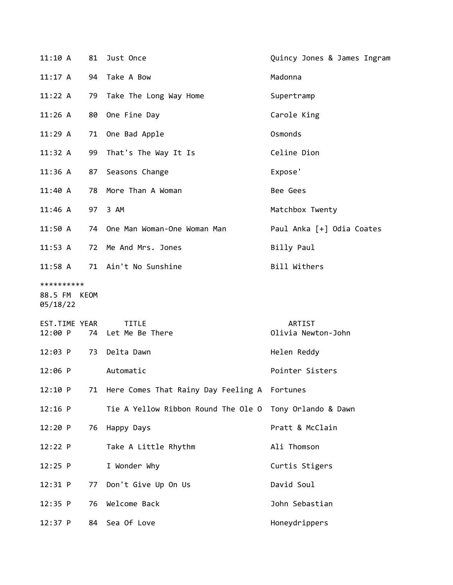| 11:10 A                                |    | 81 Just Once                                    | Quincy Jones & James Ingram  |
|----------------------------------------|----|-------------------------------------------------|------------------------------|
| 11:17 A                                | 94 | Take A Bow                                      | Madonna                      |
| 11:22 A                                | 79 | Take The Long Way Home                          | Supertramp                   |
| 11:26A                                 | 80 | One Fine Day                                    | Carole King                  |
| 11:29A                                 | 71 | One Bad Apple                                   | Osmonds                      |
| 11:32 A                                | 99 | That's The Way It Is                            | Celine Dion                  |
| 11:36 A                                | 87 | Seasons Change                                  | Expose'                      |
| 11:40 A                                | 78 | More Than A Woman                               | Bee Gees                     |
| $11:46$ A                              |    | 97 3 AM                                         | Matchbox Twenty              |
| 11:50 A                                | 74 | One Man Woman-One Woman Man                     | Paul Anka [+] Odia Coates    |
| 11:53 A                                | 72 | Me And Mrs. Jones                               | Billy Paul                   |
| $11:58$ A                              |    | 71 Ain't No Sunshine                            | Bill Withers                 |
| **********<br>88.5 FM KEOM<br>05/18/22 |    |                                                 |                              |
| EST.TIME YEAR<br>12:00 P               | 74 | <b>TITLE</b><br>Let Me Be There                 | ARTIST<br>Olivia Newton-John |
| 12:03 P                                | 73 | Delta Dawn                                      | Helen Reddy                  |
| $12:06$ P                              |    | Automatic                                       | Pointer Sisters              |
| 12:10 P                                |    | 71 Here Comes That Rainy Day Feeling A Fortunes |                              |
| $12:16$ P                              |    | Tie A Yellow Ribbon Round The Ole O             | Tony Orlando & Dawn          |
| 12:20 P                                | 76 | Happy Days                                      | Pratt & McClain              |
| 12:22 P                                |    | Take A Little Rhythm                            | Ali Thomson                  |
| $12:25$ P                              |    | I Wonder Why                                    | Curtis Stigers               |
| 12:31 P                                | 77 | Don't Give Up On Us                             | David Soul                   |
| 12:35 P                                | 76 | Welcome Back                                    | John Sebastian               |
| $12:37$ P                              | 84 | Sea Of Love                                     | Honeydrippers                |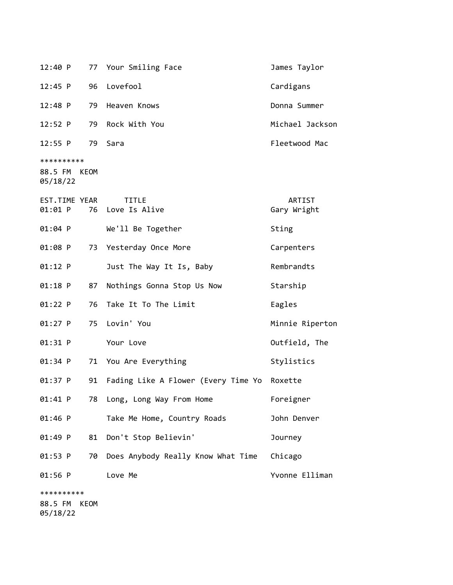| 12:40 P                                | 77 | Your Smiling Face                           | James Taylor          |
|----------------------------------------|----|---------------------------------------------|-----------------------|
| $12:45$ P                              | 96 | Lovefool                                    | Cardigans             |
| $12:48$ P                              | 79 | Heaven Knows                                | Donna Summer          |
| 12:52 P                                | 79 | Rock With You                               | Michael Jackson       |
| 12:55 P                                | 79 | Sara                                        | Fleetwood Mac         |
| **********<br>88.5 FM KEOM<br>05/18/22 |    |                                             |                       |
| EST.TIME YEAR<br>01:01 P               |    | <b>TITLE</b><br>76 Love Is Alive            | ARTIST<br>Gary Wright |
| 01:04 P                                |    | We'll Be Together                           | Sting                 |
| 01:08 P                                | 73 | Yesterday Once More                         | Carpenters            |
| $01:12$ P                              |    | Just The Way It Is, Baby                    | Rembrandts            |
| 01:18 P                                | 87 | Nothings Gonna Stop Us Now                  | Starship              |
| $01:22$ P                              | 76 | Take It To The Limit                        | Eagles                |
| $01:27$ P                              | 75 | Lovin' You                                  | Minnie Riperton       |
| 01:31 P                                |    | Your Love                                   | Outfield, The         |
| 01:34 P                                | 71 | You Are Everything                          | Stylistics            |
| 01:37 P                                | 91 | Fading Like A Flower (Every Time Yo Roxette |                       |
| 01:41 P                                | 78 | Long, Long Way From Home                    | Foreigner             |
| 01:46 P                                |    | Take Me Home, Country Roads                 | John Denver           |
| 01:49 P                                | 81 | Don't Stop Believin'                        | Journey               |
| 01:53 P                                | 70 | Does Anybody Really Know What Time          | Chicago               |
| $01:56$ P                              |    | Love Me                                     | Yvonne Elliman        |
| **********                             |    |                                             |                       |

88.5 FM KEOM 05/18/22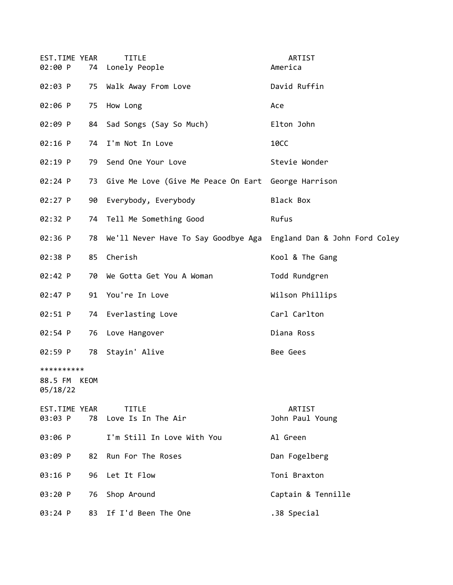| EST.TIME YEAR<br>02:00 P          |      | <b>TITLE</b><br>74 Lonely People                                     | ARTIST<br>America         |
|-----------------------------------|------|----------------------------------------------------------------------|---------------------------|
| 02:03 P                           |      | 75 Walk Away From Love                                               | David Ruffin              |
| 02:06 P                           |      | 75 How Long                                                          | Ace                       |
| 02:09 P                           |      | 84 Sad Songs (Say So Much)                                           | Elton John                |
| $02:16$ P                         |      | 74 I'm Not In Love                                                   | <b>10CC</b>               |
| 02:19 P                           |      | 79 Send One Your Love                                                | Stevie Wonder             |
| $02:24$ P                         |      | 73 Give Me Love (Give Me Peace On Eart George Harrison               |                           |
| $02:27$ P                         | 90   | Everybody, Everybody                                                 | Black Box                 |
| 02:32 P                           |      | 74 Tell Me Something Good                                            | Rufus                     |
| 02:36 P                           |      | 78 We'll Never Have To Say Goodbye Aga England Dan & John Ford Coley |                           |
| 02:38 P                           | 85   | Cherish                                                              | Kool & The Gang           |
| 02:42 P                           | 70   | We Gotta Get You A Woman                                             | Todd Rundgren             |
| 02:47 P                           |      | 91 You're In Love                                                    | Wilson Phillips           |
| 02:51 P                           |      | 74 Everlasting Love                                                  | Carl Carlton              |
| 02:54 P                           |      | 76 Love Hangover                                                     | Diana Ross                |
| 02:59 P                           |      | 78 Stayin' Alive                                                     | Bee Gees                  |
| **********<br>88.5 FM<br>05/18/22 | KEOM |                                                                      |                           |
| EST.TIME YEAR<br>03:03 P          |      | <b>TITLE</b><br>78 Love Is In The Air                                | ARTIST<br>John Paul Young |
| 03:06 P                           |      | I'm Still In Love With You                                           | Al Green                  |
| 03:09 P                           | 82   | Run For The Roses                                                    | Dan Fogelberg             |
| 03:16 P                           |      | 96 Let It Flow                                                       | Toni Braxton              |
| 03:20 P                           |      | 76 Shop Around                                                       | Captain & Tennille        |
| 03:24 P                           |      | 83 If I'd Been The One                                               | .38 Special               |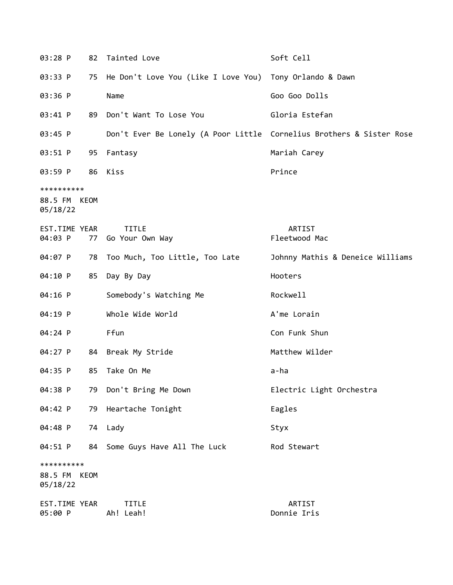| 03:28 P                  | 82   | Tainted Love                                                         | Soft Cell                        |
|--------------------------|------|----------------------------------------------------------------------|----------------------------------|
| 03:33 P                  | 75   | He Don't Love You (Like I Love You) Tony Orlando & Dawn              |                                  |
| 03:36 P                  |      | Name                                                                 | Goo Goo Dolls                    |
| 03:41 P                  | 89   | Don't Want To Lose You                                               | Gloria Estefan                   |
| 03:45 P                  |      | Don't Ever Be Lonely (A Poor Little Cornelius Brothers & Sister Rose |                                  |
| 03:51 P                  |      | 95 Fantasy                                                           | Mariah Carey                     |
| 03:59 P                  |      | 86 Kiss                                                              | Prince                           |
| **********               |      |                                                                      |                                  |
| 88.5 FM KEOM<br>05/18/22 |      |                                                                      |                                  |
| EST.TIME YEAR            |      | <b>TITLE</b>                                                         | ARTIST                           |
| 04:03 P                  | 77   | Go Your Own Way                                                      | Fleetwood Mac                    |
| 04:07 P                  |      | 78 Too Much, Too Little, Too Late                                    | Johnny Mathis & Deneice Williams |
| 04:10 P                  | 85   | Day By Day                                                           | Hooters                          |
| 04:16 P                  |      | Somebody's Watching Me                                               | Rockwell                         |
| 04:19 P                  |      | Whole Wide World                                                     | A'me Lorain                      |
| 04:24 P                  |      | Ffun                                                                 | Con Funk Shun                    |
| 04:27 P                  |      | 84 Break My Stride                                                   | Matthew Wilder                   |
| 04:35 P                  | 85   | Take On Me                                                           | a-ha                             |
| 04:38 P                  | 79   | Don't Bring Me Down                                                  | Electric Light Orchestra         |
| 04:42 P                  | 79   | Heartache Tonight                                                    | Eagles                           |
| 04:48 P                  |      | 74 Lady                                                              | Styx                             |
| 04:51 P                  | 84   | Some Guys Have All The Luck                                          | Rod Stewart                      |
| **********               |      |                                                                      |                                  |
| 88.5 FM<br>05/18/22      | KEOM |                                                                      |                                  |
| EST.TIME YEAR<br>05:00 P |      | <b>TITLE</b><br>Ah! Leah!                                            | ARTIST<br>Donnie Iris            |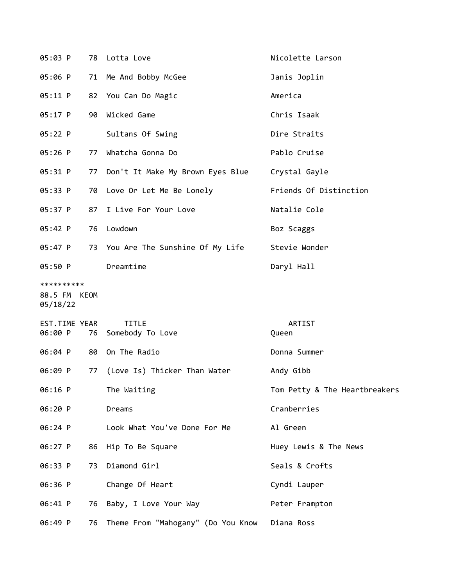| 05:03 P                                |    | 78 Lotta Love                       | Nicolette Larson              |
|----------------------------------------|----|-------------------------------------|-------------------------------|
| 05:06 P                                |    | 71 Me And Bobby McGee               | Janis Joplin                  |
| 05:11 P                                |    | 82 You Can Do Magic                 | America                       |
| 05:17 P                                |    | 90 Wicked Game                      | Chris Isaak                   |
| 05:22 P                                |    | Sultans Of Swing                    | Dire Straits                  |
| 05:26 P                                | 77 | Whatcha Gonna Do                    | Pablo Cruise                  |
| 05:31 P                                |    | 77 Don't It Make My Brown Eyes Blue | Crystal Gayle                 |
| 05:33 P                                |    | 70 Love Or Let Me Be Lonely         | Friends Of Distinction        |
| 05:37 P                                | 87 | I Live For Your Love                | Natalie Cole                  |
| 05:42 P                                | 76 | Lowdown                             | Boz Scaggs                    |
| 05:47 P                                |    | 73 You Are The Sunshine Of My Life  | Stevie Wonder                 |
| 05:50 P                                |    | Dreamtime                           | Daryl Hall                    |
| **********<br>88.5 FM KEOM<br>05/18/22 |    |                                     |                               |
| EST.TIME YEAR<br>06:00 P               | 76 | <b>TITLE</b><br>Somebody To Love    | ARTIST<br>Queen               |
| 06:04 P                                |    | 80 On The Radio                     | Donna Summer                  |
| 06:09 P                                |    | 77 (Love Is) Thicker Than Water     | Andy Gibb                     |
| 06:16 P                                |    | The Waiting                         | Tom Petty & The Heartbreakers |
| 06:20 P                                |    | Dreams                              | Cranberries                   |
| 06:24 P                                |    | Look What You've Done For Me        | Al Green                      |
| 06:27 P                                |    | 86 Hip To Be Square                 | Huey Lewis & The News         |
| 06:33 P                                | 73 | Diamond Girl                        | Seals & Crofts                |
| 06:36 P                                |    | Change Of Heart                     | Cyndi Lauper                  |
| 06:41 P                                |    | 76 Baby, I Love Your Way            | Peter Frampton                |
| 06:49 P                                | 76 | Theme From "Mahogany" (Do You Know  | Diana Ross                    |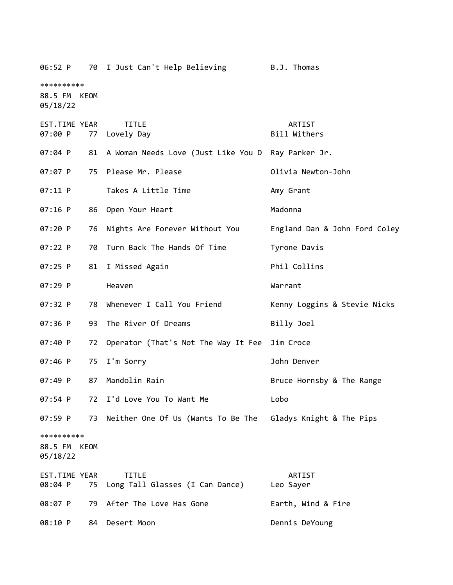06:52 P 70 I Just Can't Help Believing B.J. Thomas \*\*\*\*\*\*\*\*\*\* 88.5 FM KEOM 05/18/22 EST.TIME YEAR TITLE ARTIST 07:00 P 77 Lovely Day Bill Withers 07:04 P 81 A Woman Needs Love (Just Like You D Ray Parker Jr. 07:07 P 75 Please Mr. Please Contract March 2011 Please Please Please Please Please Please Please Pl 07:11 P Takes A Little Time Contract Many Grant 07:16 P 86 Open Your Heart Madonna 07:20 P 76 Nights Are Forever Without You England Dan & John Ford Coley 07:22 P 70 Turn Back The Hands Of Time Tyrone Davis 07:25 P 81 I Missed Again **Phil Collins** 07:29 P Heaven Warrant 07:32 P 78 Whenever I Call You Friend Kenny Loggins & Stevie Nicks 07:36 P 93 The River Of Dreams Billy Joel 07:40 P 72 Operator (That's Not The Way It Fee Jim Croce 07:46 P 75 I'm Sorry Contract Communication of Dohn Denver 07:49 P 87 Mandolin Rain Bruce Hornsby & The Range 07:54 P 72 I'd Love You To Want Me Lobo 07:59 P 73 Neither One Of Us (Wants To Be The Gladys Knight & The Pips \*\*\*\*\*\*\*\*\*\* 88.5 FM KEOM 05/18/22 EST.TIME YEAR TITLE ARTIST 08:04 P 75 Long Tall Glasses (I Can Dance) Leo Sayer 08:07 P 79 After The Love Has Gone Farth, Wind & Fire 08:10 P 84 Desert Moon Dennis DeYoung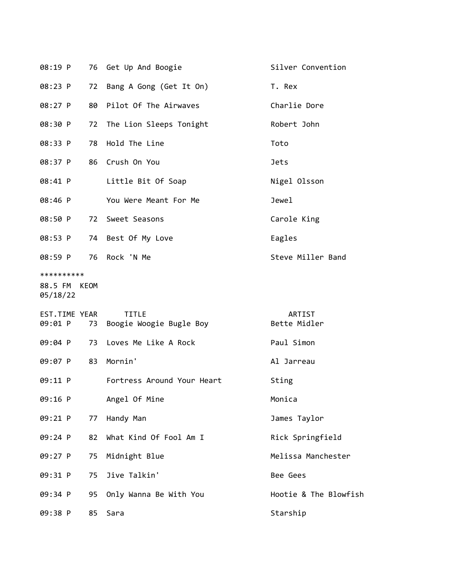|                                        |    | 08:19 P 76 Get Up And Boogie                | Silver Convention      |
|----------------------------------------|----|---------------------------------------------|------------------------|
| 08:23 P                                |    | 72 Bang A Gong (Get It On)                  | T. Rex                 |
| 08:27 P                                |    | 80 Pilot Of The Airwaves                    | Charlie Dore           |
| 08:30 P                                |    | 72 The Lion Sleeps Tonight                  | Robert John            |
| 08:33 P                                |    | 78 Hold The Line                            | Toto                   |
|                                        |    | 08:37 P 86 Crush On You                     | <b>Jets</b>            |
| 08:41 P                                |    | Little Bit Of Soap                          | Nigel Olsson           |
|                                        |    | 08:46 P You Were Meant For Me               | Jewel                  |
|                                        |    | 08:50 P 72 Sweet Seasons                    | Carole King            |
|                                        |    | 08:53 P 74 Best Of My Love                  | Eagles                 |
|                                        |    | 08:59 P 76 Rock 'N Me                       | Steve Miller Band      |
| **********<br>88.5 FM KEOM<br>05/18/22 |    |                                             |                        |
| EST.TIME YEAR<br>09:01 P               |    | <b>TITLE</b><br>73  Boogie Woogie Bugle Boy | ARTIST<br>Bette Midler |
|                                        |    | 09:04 P 73 Loves Me Like A Rock             | Paul Simon             |
| 09:07 P                                |    | 83 Mornin'                                  | Al Jarreau             |
|                                        |    | 09:11 P Fortress Around Your Heart          | Sting                  |
| 09:16 P                                |    | Angel Of Mine                               | Monica                 |
| 09:21 P                                | 77 | Handy Man                                   | James Taylor           |
| 09:24 P                                | 82 | What Kind Of Fool Am I                      | Rick Springfield       |
| 09:27 P                                | 75 | Midnight Blue                               | Melissa Manchester     |
| 09:31 P                                | 75 | Jive Talkin'                                | Bee Gees               |
| 09:34 P                                | 95 | Only Wanna Be With You                      | Hootie & The Blowfish  |
| 09:38 P                                | 85 | Sara                                        | Starship               |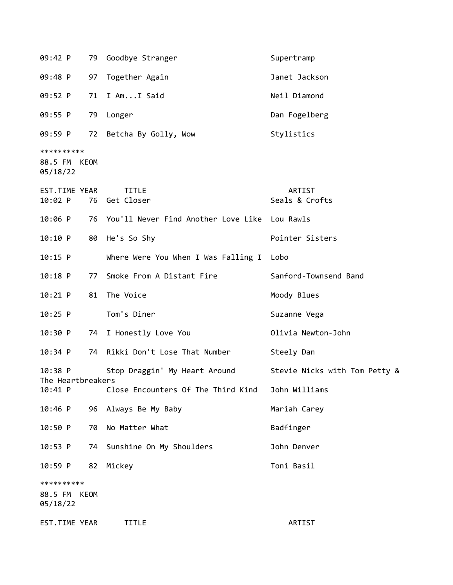| 09:42 P                        |      | 79 Goodbye Stranger                              | Supertramp                    |
|--------------------------------|------|--------------------------------------------------|-------------------------------|
| 09:48 P                        | 97   | Together Again                                   | Janet Jackson                 |
| 09:52 P                        | 71   | I AmI Said                                       | Neil Diamond                  |
| 09:55 P                        |      | 79 Longer                                        | Dan Fogelberg                 |
| 09:59 P                        |      | 72 Betcha By Golly, Wow                          | Stylistics                    |
| **********                     |      |                                                  |                               |
| 88.5 FM KEOM<br>05/18/22       |      |                                                  |                               |
| EST.TIME YEAR<br>$10:02$ P     |      | <b>TITLE</b><br>76 Get Closer                    | ARTIST<br>Seals & Crofts      |
| $10:06$ P                      |      | 76 You'll Never Find Another Love Like Lou Rawls |                               |
| 10:10 P                        |      | 80 He's So Shy                                   | Pointer Sisters               |
| $10:15$ P                      |      | Where Were You When I Was Falling I              | Lobo                          |
| $10:18$ P                      | 77   | Smoke From A Distant Fire                        | Sanford-Townsend Band         |
| $10:21$ P                      | 81   | The Voice                                        | Moody Blues                   |
| $10:25$ P                      |      | Tom's Diner                                      | Suzanne Vega                  |
| 10:30 P                        |      | 74 I Honestly Love You                           | Olivia Newton-John            |
| 10:34 P                        | 74   | Rikki Don't Lose That Number                     | Steely Dan                    |
| $10:38$ P<br>The Heartbreakers |      | Stop Draggin' My Heart Around                    | Stevie Nicks with Tom Petty & |
| 10:41 P                        |      | Close Encounters Of The Third Kind               | John Williams                 |
| $10:46$ P                      | 96   | Always Be My Baby                                | Mariah Carey                  |
| 10:50 P                        | 70   | No Matter What                                   | Badfinger                     |
| 10:53 P                        | 74   | Sunshine On My Shoulders                         | John Denver                   |
| 10:59 P                        | 82   | Mickey                                           | Toni Basil                    |
| **********                     |      |                                                  |                               |
| 88.5 FM<br>05/18/22            | KEOM |                                                  |                               |
| EST.TIME YEAR                  |      | <b>TITLE</b>                                     | ARTIST                        |